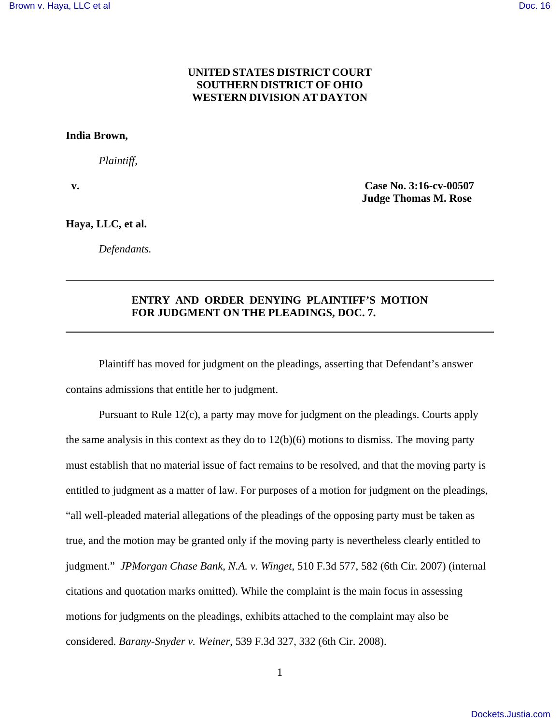## **UNITED STATES DISTRICT COURT SOUTHERN DISTRICT OF OHIO WESTERN DIVISION AT DAYTON**

## **India Brown,**

*Plaintiff,*

 **v. Case No. 3:16-cv-00507 Judge Thomas M. Rose** 

**Haya, LLC, et al.** 

*Defendants.*

## **ENTRY AND ORDER DENYING PLAINTIFF'S MOTION FOR JUDGMENT ON THE PLEADINGS, DOC. 7.**

Plaintiff has moved for judgment on the pleadings, asserting that Defendant's answer contains admissions that entitle her to judgment.

Pursuant to Rule 12(c), a party may move for judgment on the pleadings. Courts apply the same analysis in this context as they do to  $12(b)(6)$  motions to dismiss. The moving party must establish that no material issue of fact remains to be resolved, and that the moving party is entitled to judgment as a matter of law. For purposes of a motion for judgment on the pleadings, "all well-pleaded material allegations of the pleadings of the opposing party must be taken as true, and the motion may be granted only if the moving party is nevertheless clearly entitled to judgment." *JPMorgan Chase Bank, N.A. v. Winget*, 510 F.3d 577, 582 (6th Cir. 2007) (internal citations and quotation marks omitted). While the complaint is the main focus in assessing motions for judgments on the pleadings, exhibits attached to the complaint may also be considered. *Barany-Snyder v. Weiner*, 539 F.3d 327, 332 (6th Cir. 2008).